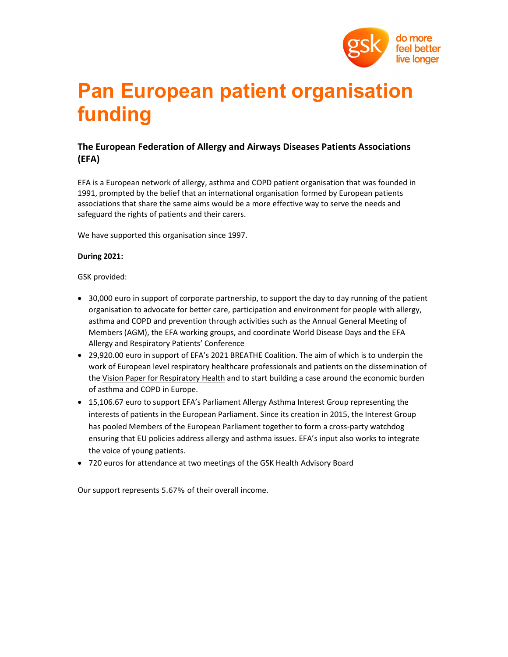

# Pan European patient organisation funding

## The European Federation of Allergy and Airways Diseases Patients Associations (EFA)

EFA is a European network of allergy, asthma and COPD patient organisation that was founded in 1991, prompted by the belief that an international organisation formed by European patients associations that share the same aims would be a more effective way to serve the needs and safeguard the rights of patients and their carers.

We have supported this organisation since 1997.

#### During 2021:

GSK provided:

- 30,000 euro in support of corporate partnership, to support the day to day running of the patient organisation to advocate for better care, participation and environment for people with allergy, asthma and COPD and prevention through activities such as the Annual General Meeting of Members (AGM), the EFA working groups, and coordinate World Disease Days and the EFA Allergy and Respiratory Patients' Conference
- 29,920.00 euro in support of EFA's 2021 BREATHE Coalition. The aim of which is to underpin the work of European level respiratory healthcare professionals and patients on the dissemination of the Vision Paper for Respiratory Health and to start building a case around the economic burden of asthma and COPD in Europe.
- 15,106.67 euro to support EFA's Parliament Allergy Asthma Interest Group representing the interests of patients in the European Parliament. Since its creation in 2015, the Interest Group has pooled Members of the European Parliament together to form a cross-party watchdog ensuring that EU policies address allergy and asthma issues. EFA's input also works to integrate the voice of young patients.
- 720 euros for attendance at two meetings of the GSK Health Advisory Board

Our support represents 5.67% of their overall income.